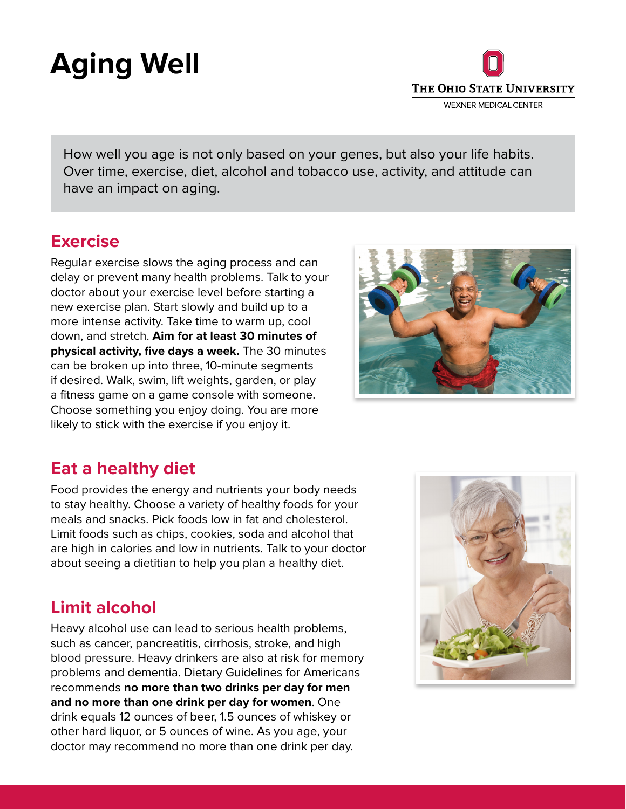# **Aging Well**



How well you age is not only based on your genes, but also your life habits. Over time, exercise, diet, alcohol and tobacco use, activity, and attitude can have an impact on aging.

#### **Exercise**

Regular exercise slows the aging process and can delay or prevent many health problems. Talk to your doctor about your exercise level before starting a new exercise plan. Start slowly and build up to a more intense activity. Take time to warm up, cool down, and stretch. **Aim for at least 30 minutes of physical activity, five days a week.** The 30 minutes can be broken up into three, 10-minute segments if desired. Walk, swim, lift weights, garden, or play a fitness game on a game console with someone. Choose something you enjoy doing. You are more likely to stick with the exercise if you enjoy it.



### **Eat a healthy diet**

Food provides the energy and nutrients your body needs to stay healthy. Choose a variety of healthy foods for your meals and snacks. Pick foods low in fat and cholesterol. Limit foods such as chips, cookies, soda and alcohol that are high in calories and low in nutrients. Talk to your doctor about seeing a dietitian to help you plan a healthy diet.

## **Limit alcohol**

Heavy alcohol use can lead to serious health problems, such as cancer, pancreatitis, cirrhosis, stroke, and high blood pressure. Heavy drinkers are also at risk for memory problems and dementia. Dietary Guidelines for Americans recommends **no more than two drinks per day for men and no more than one drink per day for women**. One drink equals 12 ounces of beer, 1.5 ounces of whiskey or other hard liquor, or 5 ounces of wine. As you age, your doctor may recommend no more than one drink per day.